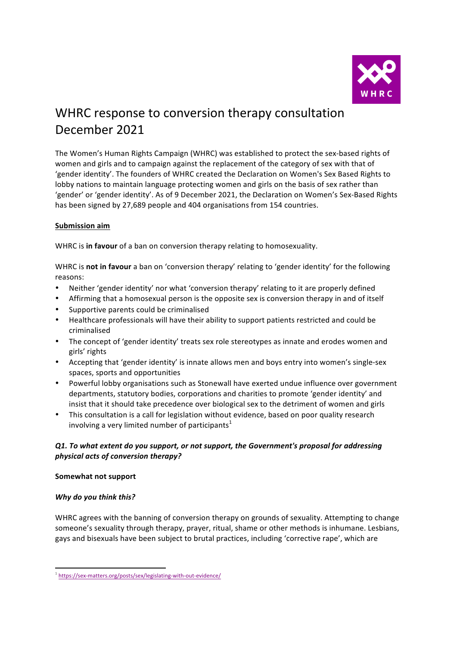

# WHRC response to conversion therapy consultation December 2021

The Women's Human Rights Campaign (WHRC) was established to protect the sex-based rights of women and girls and to campaign against the replacement of the category of sex with that of 'gender identity'. The founders of WHRC created the Declaration on Women's Sex Based Rights to lobby nations to maintain language protecting women and girls on the basis of sex rather than 'gender' or 'gender identity'. As of 9 December 2021, the Declaration on Women's Sex-Based Rights has been signed by 27,689 people and 404 organisations from 154 countries.

## **Submission aim**

WHRC is in favour of a ban on conversion therapy relating to homosexuality.

WHRC is not in favour a ban on 'conversion therapy' relating to 'gender identity' for the following reasons:

- Neither 'gender identity' nor what 'conversion therapy' relating to it are properly defined
- Affirming that a homosexual person is the opposite sex is conversion therapy in and of itself
- Supportive parents could be criminalised
- Healthcare professionals will have their ability to support patients restricted and could be criminalised
- The concept of 'gender identity' treats sex role stereotypes as innate and erodes women and girls' rights
- Accepting that 'gender identity' is innate allows men and boys entry into women's single-sex spaces, sports and opportunities
- Powerful lobby organisations such as Stonewall have exerted undue influence over government departments, statutory bodies, corporations and charities to promote 'gender identity' and insist that it should take precedence over biological sex to the detriment of women and girls
- This consultation is a call for legislation without evidence, based on poor quality research involving a very limited number of participants<sup>1</sup>

# **Q1.** To what extent do you support, or not support, the Government's proposal for addressing *physical acts of conversion therapy?*

#### **Somewhat not support**

# *Why do you think this?*

WHRC agrees with the banning of conversion therapy on grounds of sexuality. Attempting to change someone's sexuality through therapy, prayer, ritual, shame or other methods is inhumane. Lesbians, gays and bisexuals have been subject to brutal practices, including 'corrective rape', which are

<sup>&</sup>lt;sup>1</sup> https://sex-matters.org/posts/sex/legislating-with-out-evidence/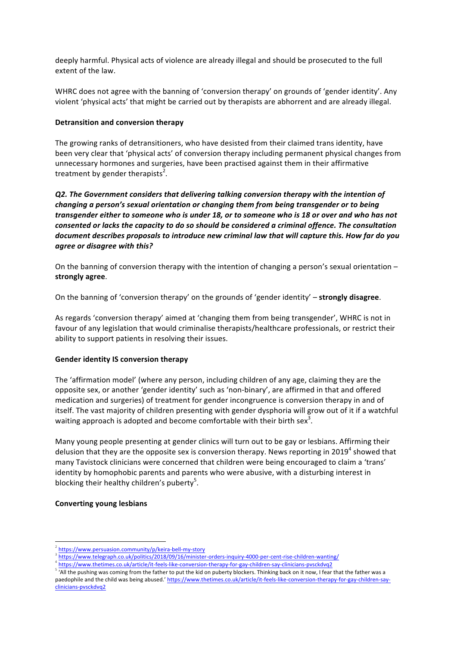deeply harmful. Physical acts of violence are already illegal and should be prosecuted to the full extent of the law.

WHRC does not agree with the banning of 'conversion therapy' on grounds of 'gender identity'. Any violent 'physical acts' that might be carried out by therapists are abhorrent and are already illegal.

#### **Detransition and conversion therapy**

The growing ranks of detransitioners, who have desisted from their claimed trans identity, have been very clear that 'physical acts' of conversion therapy including permanent physical changes from unnecessary hormones and surgeries, have been practised against them in their affirmative treatment by gender therapists<sup>2</sup>.

*Q2. The Government considers that delivering talking conversion therapy with the intention of changing a person's sexual orientation or changing them from being transgender or to being* transgender either to someone who is under 18, or to someone who is 18 or over and who has not *consented or lacks the capacity to do so should be considered a criminal offence. The consultation* document describes proposals to introduce new criminal law that will capture this. How far do you *agree or disagree with this?*

On the banning of conversion therapy with the intention of changing a person's sexual orientation  $$ **strongly agree**. 

On the banning of 'conversion therapy' on the grounds of 'gender identity' – strongly disagree.

As regards 'conversion therapy' aimed at 'changing them from being transgender', WHRC is not in favour of any legislation that would criminalise therapists/healthcare professionals, or restrict their ability to support patients in resolving their issues.

#### **Gender identity IS conversion therapy**

The 'affirmation model' (where any person, including children of any age, claiming they are the opposite sex, or another 'gender identity' such as 'non-binary', are affirmed in that and offered medication and surgeries) of treatment for gender incongruence is conversion therapy in and of itself. The vast majority of children presenting with gender dysphoria will grow out of it if a watchful waiting approach is adopted and become comfortable with their birth sex<sup>3</sup>.

Many young people presenting at gender clinics will turn out to be gay or lesbians. Affirming their delusion that they are the opposite sex is conversion therapy. News reporting in 2019<sup>4</sup> showed that many Tavistock clinicians were concerned that children were being encouraged to claim a 'trans' identity by homophobic parents and parents who were abusive, with a disturbing interest in blocking their healthy children's puberty<sup>5</sup>.

#### **Converting young lesbians**

<sup>3</sup> https://www.telegraph.co.uk/politics/2018/09/16/minister-orders-inquiry-4000-per-cent-rise-children-wanting/

<sup>&</sup>lt;sup>2</sup> https://www.persuasion.community/p/keira-bell-my-story

<sup>4</sup> https://www.thetimes.co.uk/article/it-feels-like-conversion-therapy-for-gay-children-say-clinicians-pvsckdvq2

 $5 \frac{1}{100}$  Tall the pushing was coming from the father to put the kid on puberty blockers. Thinking back on it now, I fear that the father was a paedophile and the child was being abused.' https://www.thetimes.co.uk/article/it-feels-like-conversion-therapy-for-gay-children-sayclinicians-pvsckdvq2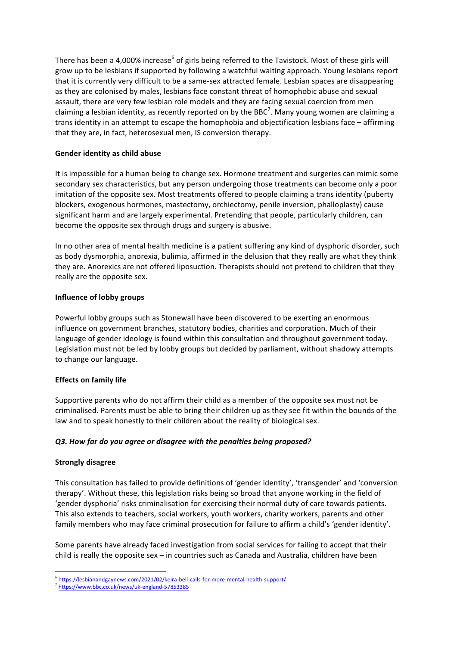There has been a 4,000% increase<sup>6</sup> of girls being referred to the Tavistock. Most of these girls will grow up to be lesbians if supported by following a watchful waiting approach. Young lesbians report that it is currently very difficult to be a same-sex attracted female. Lesbian spaces are disappearing as they are colonised by males, lesbians face constant threat of homophobic abuse and sexual assault, there are very few lesbian role models and they are facing sexual coercion from men claiming a lesbian identity, as recently reported on by the BBC<sup>7</sup>. Many young women are claiming a trans identity in an attempt to escape the homophobia and objectification lesbians face  $-$  affirming that they are, in fact, heterosexual men, IS conversion therapy.

## **Gender identity as child abuse**

It is impossible for a human being to change sex. Hormone treatment and surgeries can mimic some secondary sex characteristics, but any person undergoing those treatments can become only a poor imitation of the opposite sex. Most treatments offered to people claiming a trans identity (puberty blockers, exogenous hormones, mastectomy, orchiectomy, penile inversion, phalloplasty) cause significant harm and are largely experimental. Pretending that people, particularly children, can become the opposite sex through drugs and surgery is abusive.

In no other area of mental health medicine is a patient suffering any kind of dysphoric disorder, such as body dysmorphia, anorexia, bulimia, affirmed in the delusion that they really are what they think they are. Anorexics are not offered liposuction. Therapists should not pretend to children that they really are the opposite sex.

## **Influence of lobby groups**

Powerful lobby groups such as Stonewall have been discovered to be exerting an enormous influence on government branches, statutory bodies, charities and corporation. Much of their language of gender ideology is found within this consultation and throughout government today. Legislation must not be led by lobby groups but decided by parliament, without shadowy attempts to change our language.

# **Effects on family life**

Supportive parents who do not affirm their child as a member of the opposite sex must not be criminalised. Parents must be able to bring their children up as they see fit within the bounds of the law and to speak honestly to their children about the reality of biological sex.

# *Q3. How far do you agree or disagree with the penalties being proposed?*

#### **Strongly disagree**

This consultation has failed to provide definitions of 'gender identity', 'transgender' and 'conversion therapy'. Without these, this legislation risks being so broad that anyone working in the field of 'gender dysphoria' risks criminalisation for exercising their normal duty of care towards patients. This also extends to teachers, social workers, youth workers, charity workers, parents and other family members who may face criminal prosecution for failure to affirm a child's 'gender identity'.

Some parents have already faced investigation from social services for failing to accept that their child is really the opposite sex  $-$  in countries such as Canada and Australia, children have been

 <sup>6</sup> https://lesbianandgaynews.com/2021/02/keira-bell-calls-for-more-mental-health-support/

<sup>7</sup> https://www.bbc.co.uk/news/uk-england-57853385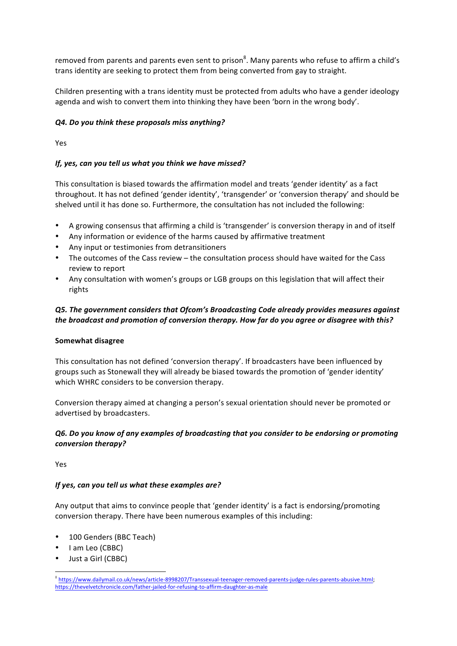removed from parents and parents even sent to prison<sup>8</sup>. Many parents who refuse to affirm a child's trans identity are seeking to protect them from being converted from gay to straight.

Children presenting with a trans identity must be protected from adults who have a gender ideology agenda and wish to convert them into thinking they have been 'born in the wrong body'.

## *Q4. Do you think these proposals miss anything?*

Yes

## *If, yes, can you tell us what you think we have missed?*

This consultation is biased towards the affirmation model and treats 'gender identity' as a fact throughout. It has not defined 'gender identity', 'transgender' or 'conversion therapy' and should be shelved until it has done so. Furthermore, the consultation has not included the following:

- A growing consensus that affirming a child is 'transgender' is conversion therapy in and of itself
- Any information or evidence of the harms caused by affirmative treatment
- Any input or testimonies from detransitioners
- The outcomes of the Cass review  $-$  the consultation process should have waited for the Cass review to report
- Any consultation with women's groups or LGB groups on this legislation that will affect their rights

# *Q5. The government considers that Ofcom's Broadcasting Code already provides measures against*  the broadcast and promotion of conversion therapy. How far do you agree or disagree with this?

#### **Somewhat disagree**

This consultation has not defined 'conversion therapy'. If broadcasters have been influenced by groups such as Stonewall they will already be biased towards the promotion of 'gender identity' which WHRC considers to be conversion therapy.

Conversion therapy aimed at changing a person's sexual orientation should never be promoted or advertised by broadcasters.

## **Q6.** Do you know of any examples of broadcasting that you consider to be endorsing or promoting *conversion therapy?*

Yes

## *If yes, can you tell us what these examples are?*

Any output that aims to convince people that 'gender identity' is a fact is endorsing/promoting conversion therapy. There have been numerous examples of this including:

- 100 Genders (BBC Teach)
- I am Leo (CBBC)
- Just a Girl (CBBC)

 <sup>8</sup> https://www.dailymail.co.uk/news/article-8998207/Transsexual-teenager-removed-parents-judge-rules-parents-abusive.html; https://thevelvetchronicle.com/father-jailed-for-refusing-to-affirm-daughter-as-male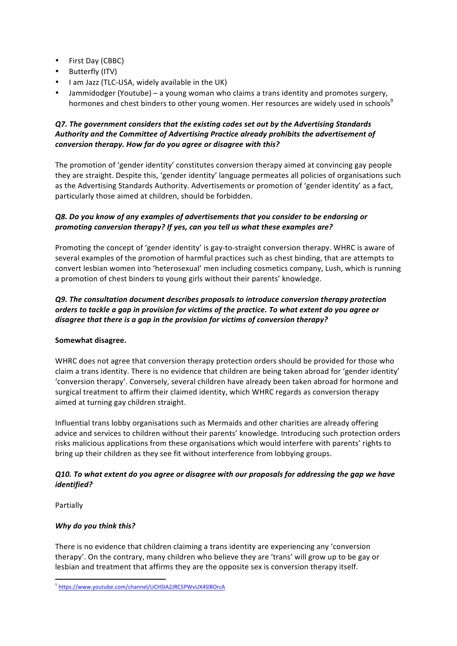- First Day (CBBC)
- Butterfly (ITV)
- I am Jazz (TLC-USA, widely available in the UK)
- Jammidodger (Youtube) a young woman who claims a trans identity and promotes surgery, hormones and chest binders to other young women. Her resources are widely used in schools<sup>9</sup>

# **Q7.** The government considers that the existing codes set out by the Advertising Standards Authority and the Committee of Advertising Practice already prohibits the advertisement of *conversion therapy. How far do you agree or disagree with this?*

The promotion of 'gender identity' constitutes conversion therapy aimed at convincing gay people they are straight. Despite this, 'gender identity' language permeates all policies of organisations such as the Advertising Standards Authority. Advertisements or promotion of 'gender identity' as a fact, particularly those aimed at children, should be forbidden.

# *Q8. Do you know of any examples of advertisements that you consider to be endorsing or promoting conversion therapy? If yes, can you tell us what these examples are?*

Promoting the concept of 'gender identity' is gay-to-straight conversion therapy. WHRC is aware of several examples of the promotion of harmful practices such as chest binding, that are attempts to convert lesbian women into 'heterosexual' men including cosmetics company, Lush, which is running a promotion of chest binders to young girls without their parents' knowledge.

# **Q9.** The consultation document describes proposals to introduce conversion therapy protection *orders* to tackle a gap in provision for victims of the practice. To what extent do you agree or *disagree that there is a gap in the provision for victims of conversion therapy?*

# Somewhat disagree.

WHRC does not agree that conversion therapy protection orders should be provided for those who claim a trans identity. There is no evidence that children are being taken abroad for 'gender identity' 'conversion therapy'. Conversely, several children have already been taken abroad for hormone and surgical treatment to affirm their claimed identity, which WHRC regards as conversion therapy aimed at turning gay children straight.

Influential trans lobby organisations such as Mermaids and other charities are already offering advice and services to children without their parents' knowledge. Introducing such protection orders risks malicious applications from these organisations which would interfere with parents' rights to bring up their children as they see fit without interference from lobbying groups.

# *Q10. To what extent do you agree or disagree with our proposals for addressing the gap we have identified?*

Partially

# *Why do you think this?*

There is no evidence that children claiming a trans identity are experiencing any 'conversion therapy'. On the contrary, many children who believe they are 'trans' will grow up to be gay or lesbian and treatment that affirms they are the opposite sex is conversion therapy itself.

 <sup>9</sup> https://www.youtube.com/channel/UCHSIA2JRC5PWvUX4Sl8OrcA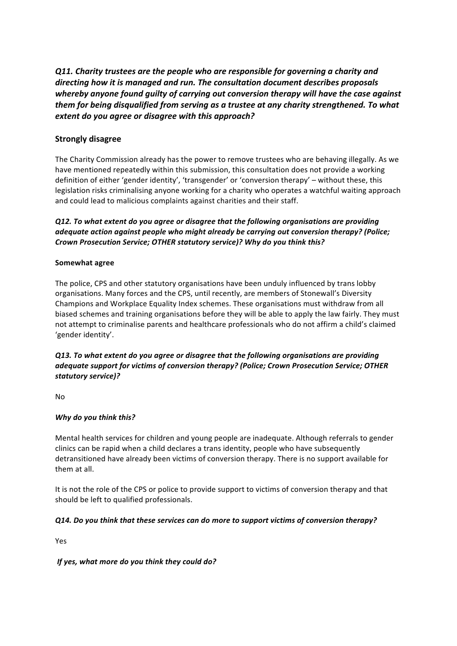**Q11.** Charity trustees are the people who are responsible for governing a charity and directing how it is managed and run. The consultation document describes proposals whereby anyone found guilty of carrying out conversion therapy will have the case against *them for being disqualified from serving as a trustee at any charity strengthened. To what* extent do you agree or disagree with this approach?

# **Strongly disagree**

The Charity Commission already has the power to remove trustees who are behaving illegally. As we have mentioned repeatedly within this submission, this consultation does not provide a working definition of either 'gender identity', 'transgender' or 'conversion therapy' – without these, this legislation risks criminalising anyone working for a charity who operates a watchful waiting approach and could lead to malicious complaints against charities and their staff.

## **Q12.** To what extent do you agree or disagree that the following organisations are providing *adequate action against people who might already be carrying out conversion therapy?* (Police; *Crown Prosecution Service; OTHER statutory service)? Why do you think this?*

#### **Somewhat agree**

The police, CPS and other statutory organisations have been unduly influenced by trans lobby organisations. Many forces and the CPS, until recently, are members of Stonewall's Diversity Champions and Workplace Equality Index schemes. These organisations must withdraw from all biased schemes and training organisations before they will be able to apply the law fairly. They must not attempt to criminalise parents and healthcare professionals who do not affirm a child's claimed 'gender identity'.

### **Q13.** To what extent do you agree or disagree that the following organisations are providing *adequate support for victims of conversion therapy? (Police; Crown Prosecution Service; OTHER statutory service)?*

No

#### *Why do you think this?*

Mental health services for children and young people are inadequate. Although referrals to gender clinics can be rapid when a child declares a trans identity, people who have subsequently detransitioned have already been victims of conversion therapy. There is no support available for them at all.

It is not the role of the CPS or police to provide support to victims of conversion therapy and that should be left to qualified professionals.

#### *Q14. Do you think that these services can do more to support victims of conversion therapy?*

Yes

#### *If yes, what more do you think they could do?*